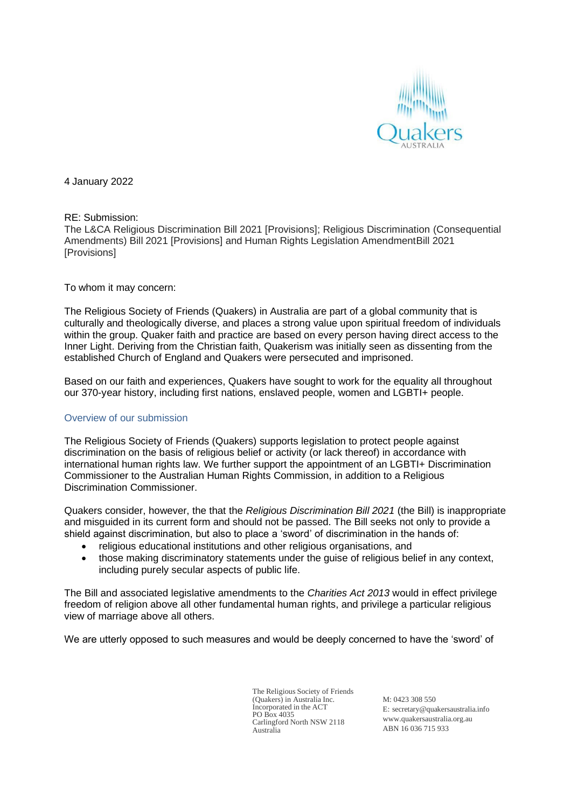

4 January 2022

### RE: Submission:

The L&CA Religious Discrimination Bill 2021 [Provisions]; Religious Discrimination (Consequential Amendments) Bill 2021 [Provisions] and Human Rights Legislation AmendmentBill 2021 [Provisions]

### To whom it may concern:

The Religious Society of Friends (Quakers) in Australia are part of a global community that is culturally and theologically diverse, and places a strong value upon spiritual freedom of individuals within the group. Quaker faith and practice are based on every person having direct access to the Inner Light. Deriving from the Christian faith, Quakerism was initially seen as dissenting from the established Church of England and Quakers were persecuted and imprisoned.

Based on our faith and experiences, Quakers have sought to work for the equality all throughout our 370-year history, including first nations, enslaved people, women and LGBTI+ people.

### Overview of our submission

The Religious Society of Friends (Quakers) supports legislation to protect people against discrimination on the basis of religious belief or activity (or lack thereof) in accordance with international human rights law. We further support the appointment of an LGBTI+ Discrimination Commissioner to the Australian Human Rights Commission, in addition to a Religious Discrimination Commissioner.

Quakers consider, however, the that the *Religious Discrimination Bill 2021* (the Bill) is inappropriate and misguided in its current form and should not be passed. The Bill seeks not only to provide a shield against discrimination, but also to place a 'sword' of discrimination in the hands of:

- religious educational institutions and other religious organisations, and
- those making discriminatory statements under the guise of religious belief in any context, including purely secular aspects of public life.

The Bill and associated legislative amendments to the *Charities Act 2013* would in effect privilege freedom of religion above all other fundamental human rights, and privilege a particular religious view of marriage above all others.

We are utterly opposed to such measures and would be deeply concerned to have the 'sword' of

The Religious Society of Friends (Quakers) in Australia Inc. Incorporated in the ACT PO Box 4035 Carlingford North NSW 2118 Australia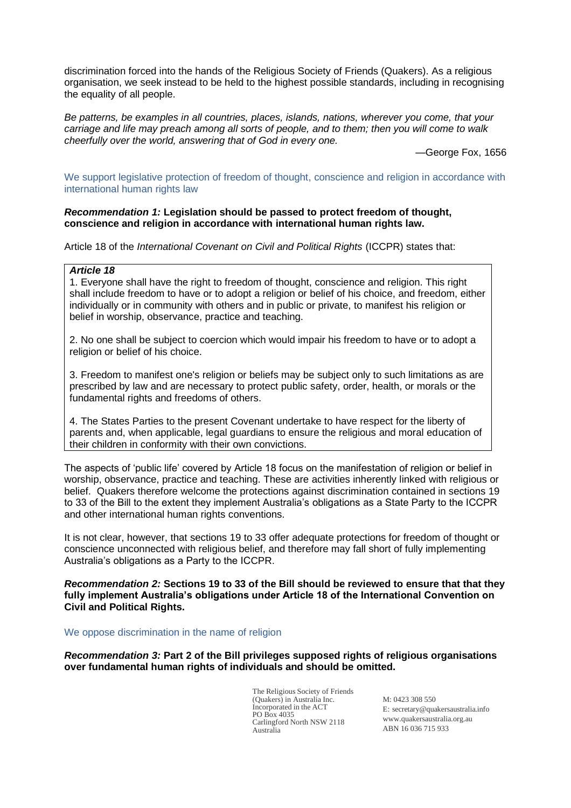discrimination forced into the hands of the Religious Society of Friends (Quakers). As a religious organisation, we seek instead to be held to the highest possible standards, including in recognising the equality of all people.

*Be patterns, be examples in all countries, places, islands, nations, wherever you come, that your carriage and life may preach among all sorts of people, and to them; then you will come to walk cheerfully over the world, answering that of God in every one.*

—George Fox, 1656

We support legislative protection of freedom of thought, conscience and religion in accordance with international human rights law

## *Recommendation 1:* **Legislation should be passed to protect freedom of thought, conscience and religion in accordance with international human rights law.**

Article 18 of the *International Covenant on Civil and Political Rights* (ICCPR) states that:

# *Article 18*

1. Everyone shall have the right to freedom of thought, conscience and religion. This right shall include freedom to have or to adopt a religion or belief of his choice, and freedom, either individually or in community with others and in public or private, to manifest his religion or belief in worship, observance, practice and teaching.

2. No one shall be subject to coercion which would impair his freedom to have or to adopt a religion or belief of his choice.

3. Freedom to manifest one's religion or beliefs may be subject only to such limitations as are prescribed by law and are necessary to protect public safety, order, health, or morals or the fundamental rights and freedoms of others.

4. The States Parties to the present Covenant undertake to have respect for the liberty of parents and, when applicable, legal guardians to ensure the religious and moral education of their children in conformity with their own convictions.

The aspects of 'public life' covered by Article 18 focus on the manifestation of religion or belief in worship, observance, practice and teaching. These are activities inherently linked with religious or belief. Quakers therefore welcome the protections against discrimination contained in sections 19 to 33 of the Bill to the extent they implement Australia's obligations as a State Party to the ICCPR and other international human rights conventions.

It is not clear, however, that sections 19 to 33 offer adequate protections for freedom of thought or conscience unconnected with religious belief, and therefore may fall short of fully implementing Australia's obligations as a Party to the ICCPR.

*Recommendation 2:* **Sections 19 to 33 of the Bill should be reviewed to ensure that that they fully implement Australia's obligations under Article 18 of the International Convention on Civil and Political Rights.**

#### We oppose discrimination in the name of religion

*Recommendation 3:* **Part 2 of the Bill privileges supposed rights of religious organisations over fundamental human rights of individuals and should be omitted.**

> The Religious Society of Friends (Quakers) in Australia Inc. Incorporated in the ACT PO Box 4035 Carlingford North NSW 2118 Australia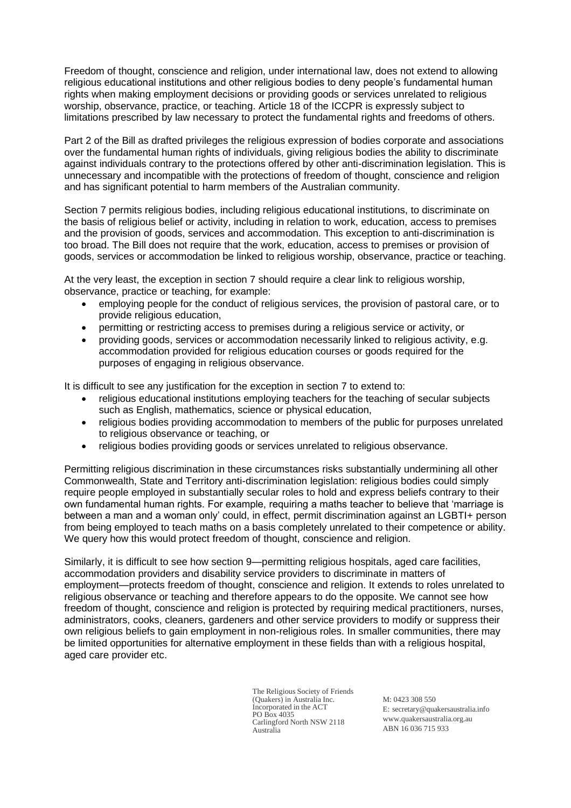Freedom of thought, conscience and religion, under international law, does not extend to allowing religious educational institutions and other religious bodies to deny people's fundamental human rights when making employment decisions or providing goods or services unrelated to religious worship, observance, practice, or teaching. Article 18 of the ICCPR is expressly subject to limitations prescribed by law necessary to protect the fundamental rights and freedoms of others.

Part 2 of the Bill as drafted privileges the religious expression of bodies corporate and associations over the fundamental human rights of individuals, giving religious bodies the ability to discriminate against individuals contrary to the protections offered by other anti-discrimination legislation. This is unnecessary and incompatible with the protections of freedom of thought, conscience and religion and has significant potential to harm members of the Australian community.

Section 7 permits religious bodies, including religious educational institutions, to discriminate on the basis of religious belief or activity, including in relation to work, education, access to premises and the provision of goods, services and accommodation. This exception to anti-discrimination is too broad. The Bill does not require that the work, education, access to premises or provision of goods, services or accommodation be linked to religious worship, observance, practice or teaching.

At the very least, the exception in section 7 should require a clear link to religious worship, observance, practice or teaching, for example:

- employing people for the conduct of religious services, the provision of pastoral care, or to provide religious education,
- permitting or restricting access to premises during a religious service or activity, or
- providing goods, services or accommodation necessarily linked to religious activity, e.g. accommodation provided for religious education courses or goods required for the purposes of engaging in religious observance.

It is difficult to see any justification for the exception in section 7 to extend to:

- religious educational institutions employing teachers for the teaching of secular subjects such as English, mathematics, science or physical education,
- religious bodies providing accommodation to members of the public for purposes unrelated to religious observance or teaching, or
- religious bodies providing goods or services unrelated to religious observance.

Permitting religious discrimination in these circumstances risks substantially undermining all other Commonwealth, State and Territory anti-discrimination legislation: religious bodies could simply require people employed in substantially secular roles to hold and express beliefs contrary to their own fundamental human rights. For example, requiring a maths teacher to believe that 'marriage is between a man and a woman only' could, in effect, permit discrimination against an LGBTI+ person from being employed to teach maths on a basis completely unrelated to their competence or ability. We query how this would protect freedom of thought, conscience and religion.

Similarly, it is difficult to see how section 9—permitting religious hospitals, aged care facilities, accommodation providers and disability service providers to discriminate in matters of employment—protects freedom of thought, conscience and religion. It extends to roles unrelated to religious observance or teaching and therefore appears to do the opposite. We cannot see how freedom of thought, conscience and religion is protected by requiring medical practitioners, nurses, administrators, cooks, cleaners, gardeners and other service providers to modify or suppress their own religious beliefs to gain employment in non-religious roles. In smaller communities, there may be limited opportunities for alternative employment in these fields than with a religious hospital, aged care provider etc.

> The Religious Society of Friends (Quakers) in Australia Inc. Incorporated in the ACT PO Box 4035 Carlingford North NSW 2118 Australia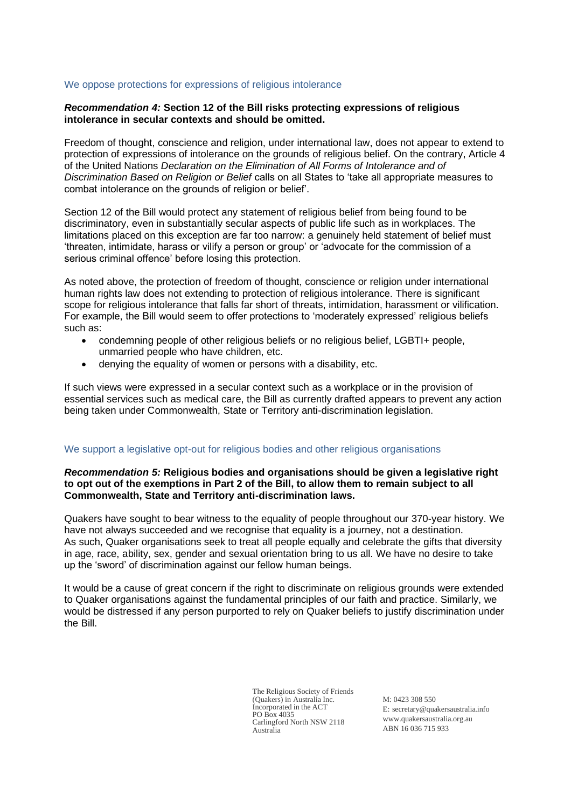### We oppose protections for expressions of religious intolerance

## *Recommendation 4:* **Section 12 of the Bill risks protecting expressions of religious intolerance in secular contexts and should be omitted.**

Freedom of thought, conscience and religion, under international law, does not appear to extend to protection of expressions of intolerance on the grounds of religious belief. On the contrary, Article 4 of the United Nations *Declaration on the Elimination of All Forms of Intolerance and of Discrimination Based on Religion or Belief* calls on all States to 'take all appropriate measures to combat intolerance on the grounds of religion or belief'.

Section 12 of the Bill would protect any statement of religious belief from being found to be discriminatory, even in substantially secular aspects of public life such as in workplaces. The limitations placed on this exception are far too narrow: a genuinely held statement of belief must 'threaten, intimidate, harass or vilify a person or group' or 'advocate for the commission of a serious criminal offence' before losing this protection.

As noted above, the protection of freedom of thought, conscience or religion under international human rights law does not extending to protection of religious intolerance. There is significant scope for religious intolerance that falls far short of threats, intimidation, harassment or vilification. For example, the Bill would seem to offer protections to 'moderately expressed' religious beliefs such as:

- condemning people of other religious beliefs or no religious belief, LGBTI+ people, unmarried people who have children, etc.
- denying the equality of women or persons with a disability, etc.

If such views were expressed in a secular context such as a workplace or in the provision of essential services such as medical care, the Bill as currently drafted appears to prevent any action being taken under Commonwealth, State or Territory anti-discrimination legislation.

# We support a legislative opt-out for religious bodies and other religious organisations

# *Recommendation 5:* **Religious bodies and organisations should be given a legislative right to opt out of the exemptions in Part 2 of the Bill, to allow them to remain subject to all Commonwealth, State and Territory anti-discrimination laws.**

Quakers have sought to bear witness to the equality of people throughout our 370-year history. We have not always succeeded and we recognise that equality is a journey, not a destination. As such, Quaker organisations seek to treat all people equally and celebrate the gifts that diversity in age, race, ability, sex, gender and sexual orientation bring to us all. We have no desire to take up the 'sword' of discrimination against our fellow human beings.

It would be a cause of great concern if the right to discriminate on religious grounds were extended to Quaker organisations against the fundamental principles of our faith and practice. Similarly, we would be distressed if any person purported to rely on Quaker beliefs to justify discrimination under the Bill.

> The Religious Society of Friends (Quakers) in Australia Inc. Incorporated in the ACT PO Box 4035 Carlingford North NSW 2118 Australia